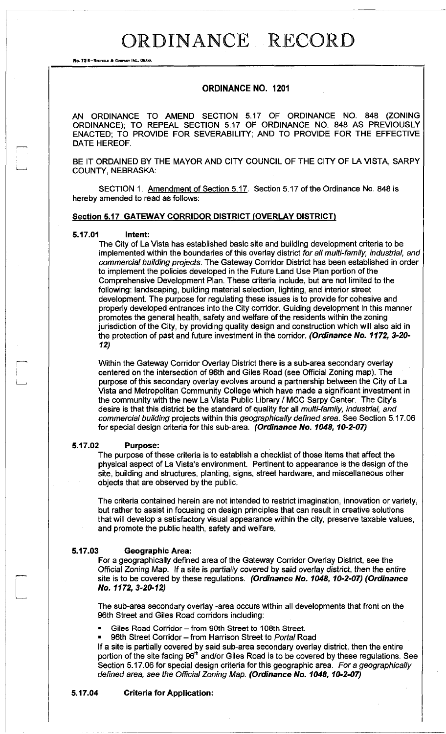No. 72 8-REDFIELD & COMPANY INC., OMAHA

### ORDINANCE NO. 1201

AN ORDINANCE TO AMEND SECTION 5.17 OF ORDINANCE NO. 848 (ZONING ORDINANCE); TO REPEAL SECTION 5,17 OF ORDINANCE NO. 848 AS PREVIOUSLY ENACTED; TO PROVIDE FOR SEVERABILITY; AND TO PROVIDE FOR THE EFFECTIVE DATE HEREOF.

BE IT ORDAINED BY THE MAYOR AND CITY COUNCIL OF THE CITY OF LA VISTA, SARPY COUNTY, NEBRASKA:

SECTION 1. Amendment of Section 5.17. Section 5.17 of the Ordinance No. 848 is hereby amended to read as follows:

#### **Section 5.17 GATEWAY CORRIDOR DISTRICT (OVERLAY DISTRICT)**

#### **5.17.01 Intent:**

The City of La Vista has established basic site and building development criteria to be implemented within the boundaries of this overlay district *for all multi-family, industrial, and commercial building projects.* The Gateway Corridor District has been established in order to implement the policies developed in the Future Land Use Plan portion of the Comprehensive Development Plan. These criteria include, but are not limited to the following: landscaping, building material selection, lighting, and interior street development. The purpose for regulating these issues is to provide for cohesive and properly developed entrances into the City corridor. Guiding development in this manner promotes the general health, safety and welfare of the residents within the zoning jurisdiction of the City, by providing quality design and construction which will also aid in the protection of past and future investment in the corridor. *(Ordinance No. 1172, 3-20- 12)* 

Within the Gateway Corridor Overlay District there is a sub-area secondary overlay centered on the intersection of 96th and Giles Road (see Official Zoning map). The purpose of this secondary overlay evolves around a partnership between the City of La Vista and Metropolitan Community College which have made a significant investment in the community with the new La Vista Public Library / MCC Sarpy Center. The City's desire is that this district be the standard of quality for all *multi-family, industrial, and commercial building* projects within this *geographically defined area.* See Section 5.17.06 for special design criteria for this sub-area. *(Ordinance No. 1048,10-2-07)* 

#### **5.17.02 Purpose:**

The purpose of these criteria is to establish a checklist of those items that affect the physical aspect of La Vista's environment. Pertinent to appearance is the design of the site, building and structures, planting, signs, street hardware, and miscellaneous other objects that are observed by the public.

The criteria contained herein are not intended to restrict imagination, innovation or variety, but rather to assist in focusing on design principles that can result in creative solutions that will develop a satisfactory visual appearance within the city, preserve taxable values, and promote the public health, safety and welfare.

#### **5.17.03 Geographic Area:**

For a geographically defined area of the Gateway Corridor Overlay District, see the Official Zoning Map. If a site is partially covered by said overlay district, then the entire site is to be covered by these regulations. *(Ordinance No. 1048, 10-2-07) (Ordinance No. 1172, 3-20-12)* 

The sub-area secondary overlay -area occurs within all developments that front on the 96th Street and Giles Road corridors including:

- Giles Road Corridor from 90th Street to 108th Street.
- 96th Street Corridor from Harrison Street to *Portal* Road

If a site is partially covered by said sub-area secondary overlay district, then the entire portion of the site facing 96<sup>th</sup> and/or Giles Road is to be covered by these regulations. See Section 5.17.06 for special design criteria for this geographic area. *For a geographically defined area, see the Official Zoning Map. (Ordinance No. 1048, 10-2-07)* 

#### **5.17.04 Criteria for Application:**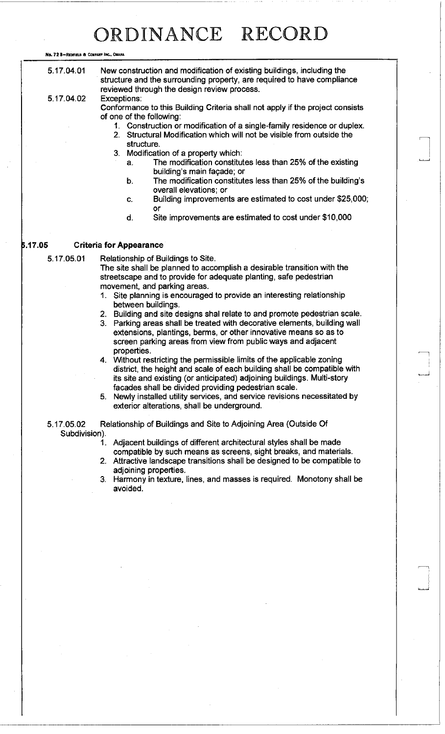No. 72 8-REDFIELD & COMPANY INC., OMAHA

| 5.17.04.01                  | New construction and modification of existing buildings, including the<br>structure and the surrounding property, are required to have compliance<br>reviewed through the design review process.                                                                                           |  |  |
|-----------------------------|--------------------------------------------------------------------------------------------------------------------------------------------------------------------------------------------------------------------------------------------------------------------------------------------|--|--|
| 5.17.04.02                  | Exceptions:<br>Conformance to this Building Criteria shall not apply if the project consists                                                                                                                                                                                               |  |  |
|                             | of one of the following:                                                                                                                                                                                                                                                                   |  |  |
|                             | 1. Construction or modification of a single-family residence or duplex.<br>2. Structural Modification which will not be visible from outside the                                                                                                                                           |  |  |
|                             | structure.                                                                                                                                                                                                                                                                                 |  |  |
|                             | 3. Modification of a property which:                                                                                                                                                                                                                                                       |  |  |
|                             | The modification constitutes less than 25% of the existing<br>a.<br>building's main façade; or                                                                                                                                                                                             |  |  |
|                             | The modification constitutes less than 25% of the building's<br>b.<br>overall elevations; or                                                                                                                                                                                               |  |  |
|                             | Building improvements are estimated to cost under \$25,000;<br>C.<br>or                                                                                                                                                                                                                    |  |  |
|                             | Site improvements are estimated to cost under \$10,000<br>d.                                                                                                                                                                                                                               |  |  |
|                             |                                                                                                                                                                                                                                                                                            |  |  |
| 5.17.05                     | <b>Criteria for Appearance</b>                                                                                                                                                                                                                                                             |  |  |
| 5.17.05.01                  | Relationship of Buildings to Site.<br>The site shall be planned to accomplish a desirable transition with the<br>streetscape and to provide for adequate planting, safe pedestrian                                                                                                         |  |  |
|                             | movement, and parking areas.                                                                                                                                                                                                                                                               |  |  |
|                             | 1. Site planning is encouraged to provide an interesting relationship                                                                                                                                                                                                                      |  |  |
|                             | between buildings.                                                                                                                                                                                                                                                                         |  |  |
|                             | 2. Building and site designs shal relate to and promote pedestrian scale.<br>3. Parking areas shall be treated with decorative elements, building wall<br>extensions, plantings, berms, or other innovative means so as to<br>screen parking areas from view from public ways and adjacent |  |  |
|                             | properties.                                                                                                                                                                                                                                                                                |  |  |
|                             | 4. Without restricting the permissible limits of the applicable zoning<br>district, the height and scale of each building shall be compatible with<br>its site and existing (or anticipated) adjoining buildings. Multi-story<br>facades shall be divided providing pedestrian scale.      |  |  |
|                             | 5. Newly installed utility services, and service revisions necessitated by                                                                                                                                                                                                                 |  |  |
|                             | exterior alterations, shall be underground.                                                                                                                                                                                                                                                |  |  |
| 5.17.05.02<br>Subdivision). | Relationship of Buildings and Site to Adjoining Area (Outside Of                                                                                                                                                                                                                           |  |  |
|                             | Adjacent buildings of different architectural styles shall be made<br>1.                                                                                                                                                                                                                   |  |  |
|                             | compatible by such means as screens, sight breaks, and materials.<br>2. Attractive landscape transitions shall be designed to be compatible to                                                                                                                                             |  |  |
|                             | adjoining properties.                                                                                                                                                                                                                                                                      |  |  |
|                             | 3. Harmony in texture, lines, and masses is required. Monotony shall be<br>avoided.                                                                                                                                                                                                        |  |  |
|                             |                                                                                                                                                                                                                                                                                            |  |  |
|                             |                                                                                                                                                                                                                                                                                            |  |  |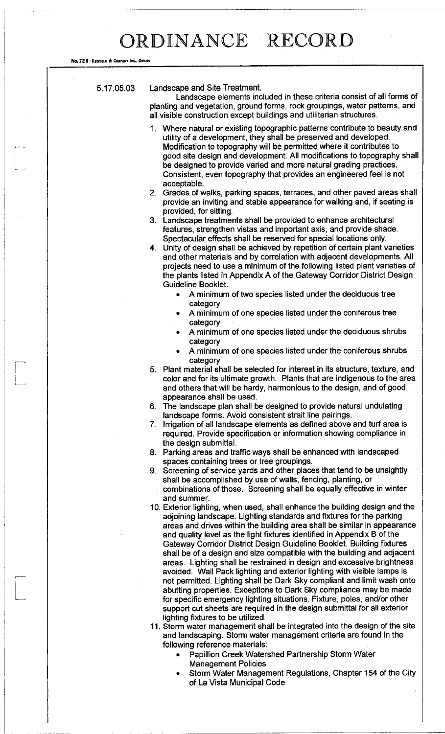No. 72 8-REDFIELD & COMPANY INC., OMAHA

#### 5.17.05.03 Landscape and Site Treatment.

Landscape elements included in these criteria consist of all forms of planting and vegetation, ground forms, rock groupings, water patterns, and all visible construction except buildings and utilitarian structures.

- 1. Where natural or existing topographic patterns contribute to beauty and utility of a development, they shall be preserved and developed. Modification to topography will be permitted where it contributes to good site design and development. All modifications to topography shall be designed to provide varied and more natural grading practices. Consistent, even topography that provides an engineered feel is not acceptable.
- 2. Grades of walks, parking spaces, terraces, and other paved areas shall provide an inviting and stable appearance for walking and, if seating is provided, for sitting.
- 3. Landscape treatments shall be provided to enhance architectural features, strengthen vistas and important axis, and provide shade. Spectacular effects shall be reserved for special locations only.
- 4. Unity of design shall be achieved by repetition of certain plant varieties and other materials and by correlation with adjacent developments. All projects need to use a minimum of the following listed plant varieties of the plants listed in Appendix A of the Gateway Corridor District Design Guideline Booklet.
	- A minimum of two species listed under the deciduous tree category
	- A minimum of one species listed under the coniferous tree category
	- A minimum of one species listed under the deciduous shrubs category
	- A minimum of one species listed under the coniferous shrubs category
- 5. Plant material shall be selected for interest in its structure, texture, and color and for its ultimate growth. Plants that are indigenous to the area and others that will be hardy, harmonious to the design, and of good appearance shall be used.
- 6. The landscape plan shall be designed to provide natural undulating landscape forms. Avoid consistent strait line pairings.
- 7. Irrigation of all landscape elements as defined above and turf area is required. Provide specification or information showing compliance in the design submittal.
- 8. Parking areas and traffic ways shall be enhanced with landscaped spaces containing trees or tree groupings.
- 9. Screening of service yards and other places that tend to be unsightly shall be accomplished by use of walls, fencing, planting, or combinations of those. Screening shall be equally effective in winter and summer.
- 10. Exterior lighting, when used, shall enhance the building design and the adjoining landscape. Lighting standards and fixtures for the parking areas and drives within the building area shall be similar in appearance and quality level as the light fixtures identified in Appendix B of the Gateway Corridor District Design Guideline Booklet. Building fixtures shall be of a design and size compatible with the building and adjacent areas. Lighting shall be restrained in design and excessive brightness avoided. Wall Pack lighting and exterior lighting with visible lamps is not permitted. Lighting shall be Dark Sky compliant and limit wash onto abutting properties. Exceptions to Dark Sky compliance may be made for specific emergency lighting situations. Fixture, poles, and/or other support cut sheets are required in the design submittal for all exterior lighting fixtures to be utilized.
- 11. Storm water management shall be integrated into the design of the site and landscaping. Storm water management criteria are found in the following reference materials:
	- Papillion Creek Watershed Partnership Storm Water Management Policies
	- Storm Water Management Regulations, Chapter 154 of the City of La Vista Municipal Code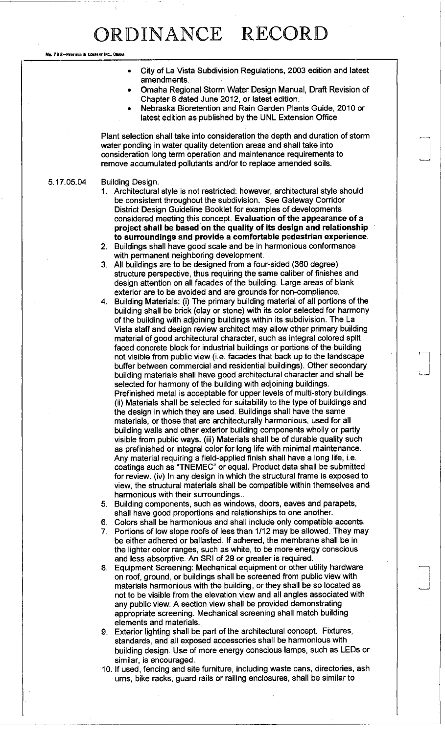No. 72 8-REDFIELD & COMPANY INC., OMAHA

- City of La Vista Subdivision Regulations, 2003 edition and latest amendments.
- Omaha Regional Storm Water Design Manual, Draft Revision of Chapter 8 dated June 2012, or latest edition.
- Nebraska Bioretention and Rain Garden Plants Guide, 2010 or latest edition as published by the UNL Extension Office

Plant selection shall take into consideration the depth and duration of storm water ponding in water quality detention areas and shall take into consideration long term operation and maintenance requirements to remove accumulated pollutants and/or to replace amended soils.

### 5.17.05.04 Building Design.

- 1. Architectural style is not restricted: however, architectural style should be consistent throughout the subdivision. See Gateway Corridor District Design Guideline Booklet for examples of developments considered meeting this concept. **Evaluation of the appearance of a project shall be based on the quality of its design and relationship to surroundings and provide a comfortable pedestrian experience.**
- 2. Buildings shall have good scale and be in harmonious conformance with permanent neighboring development.
- 3. All buildings are to be designed from a four-sided (360 degree) structure perspective, thus requiring the same caliber of finishes and design attention on all facades of the building. Large areas of blank exterior are to be avoided and are grounds for non-compliance.
- 4. Building Materials: (i) The primary building material of all portions of the building shall be brick (clay or stone) with its color selected for harmony of the building with adjoining buildings within its subdivision. The La Vista staff and design review architect may allow other primary building material of good architectural character, such as integral colored split faced concrete block for industrial buildings or portions of the building not visible from public view (i.e. facades that back up to the landscape buffer between commercial and residential buildings). Other secondary building materials shall have good architectural character and shall be selected for harmony of the building with adjoining buildings. Prefinished metal is acceptable for upper levels of multi-story buildings, (ii) Materials shall be selected for suitability to the type of buildings and the design in which they are used. Buildings shall have the same materials, or those that are architecturally harmonious, used for all building walls and other exterior building components wholly or partly visible from public ways, (iii) Materials shall be of durable quality such as prefinished or integral color for long life with minimal maintenance. Any material requiring a field-applied finish shall have a long life, i.e. coatings such as "TNEMEC" or equal. Product data shall be submitted for review, (iv) In any design in which the structural frame is exposed to view, the structural materials shall be compatible within themselves and harmonious with their surroundings..
- 5. Building components, such as windows, doors, eaves and parapets, shall have good proportions and relationships to one another.
- 6. Colors shall be harmonious and shall include only compatible accents.
- 7. Portions of low slope roofs of less than 1/12 may be allowed. They may be either adhered or ballasted. If adhered, the membrane shall be in the lighter color ranges, such as white, to be more energy conscious and less absorptive. An SRI of 29 or greater is required.
- 8. Equipment Screening: Mechanical equipment or other utility hardware on roof, ground, or buildings shall be screened from public view with materials harmonious with the building, or they shall be so located as not to be visible from the elevation view and all angles associated with any public view. A section view shall be provided demonstrating appropriate screening. Mechanical screening shall match building elements and materials.
- 9. Exterior lighting shall be part of the architectural concept. Fixtures, standards, and all exposed accessories shall be harmonious with building design. Use of more energy conscious lamps, such as LEDs or similar, is encouraged.
- 10. If used, fencing and site furniture, including waste cans, directories, ash urns, bike racks, guard rails or railing enclosures, shall be similar to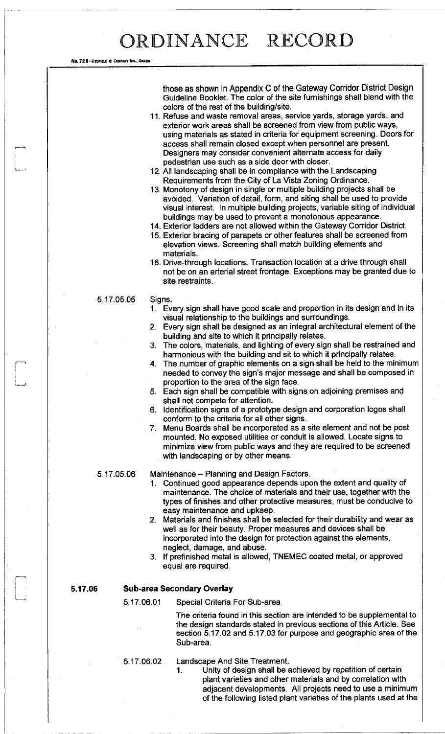#### No. 72 8-REDFIELD & COMPANY INC., ONAHA

those as shown in Appendix C of the Gateway Corridor District Design Guideline Booklet. The color of the site furnishings shall blend with the colors of the rest of the building/site.

- 11. Refuse and waste removal areas, service yards, storage yards, and exterior work areas shall be screened from view from public ways, using materials as stated in criteria for equipment screening. Doors for access shall remain closed except when personnel are present. Designers may consider convenient alternate access for daily pedestrian use such as a side door with closer.
- 12. All landscaping shall be in compliance with the Landscaping Requirements from the City of La Vista Zoning Ordinance.
- 13. Monotony of design in single or multiple building projects shall be avoided. Variation of detail, form, and siting shall be used to provide visual interest. In multiple building projects, variable siting of individual buildings may be used to prevent a monotonous appearance.
- 14. Exterior ladders are not allowed within the Gateway Corridor District.
- 15. Exterior bracing of parapets or other features shall be screened from elevation views. Screening shall match building elements and materials.
- 16. Drive-through locations. Transaction location at a drive through shall not be on an arterial street frontage. Exceptions may be granted due to site restraints.

#### 5.17.05.05 Signs.

- 1. Every sign shall have good scale and proportion in its design and in its visual relationship to the buildings and surroundings.
- 2. Every sign shall be designed as an integral architectural element of the building and site to which it principally relates.
- 3. The colors, materials, and lighting of every sign shall be restrained and harmonious with the building and sit to which it principally relates.
- 4. The number of graphic elements on a sign shall be held to the minimum needed to convey the sign's major message and shall be composed in proportion to the area of the sign face.
- 5. Each sign shall be compatible with signs on adjoining premises and shall not compete for attention.
- 6. Identification signs of a prototype design and corporation logos shall conform to the criteria for all other signs.
- 7. Menu Boards shall be incorporated as a site element and not be post mounted. No exposed utilities or conduit is allowed. Locate signs to minimize view from public ways and they are required to be screened with landscaping or by other means.

5.17.05.06 Maintenance - Planning and Design Factors.

- 1. Continued good appearance depends upon the extent and quality of maintenance. The choice of materials and their use, together with the types of finishes and other protective measures, must be conducive to easy maintenance and upkeep.
- 2. Materials and finishes shall be selected for their durability and wear as well as for their beauty. Proper measures and devices shall be incorporated into the design for protection against the elements, neglect, damage, and abuse.
- 3. If prefinished metal is allowed, TNEMEC coated metal, or approved equal are required.

### **5.17.06 Sub-area Secondary Overlay**

5.17.06.01 Special Criteria For Sub-area.

The criteria found in this section are intended to be supplemental to the design standards stated in previous sections of this Article. See section 5.17.02 and 5.17.03 for purpose and geographic area of the Sub-area.

5.17.06.02 Landscape And Site Treatment.

1. Unity of design shall be achieved by repetition of certain plant varieties and other materials and by correlation with adjacent developments. All projects need to use a minimum of the following listed plant varieties of the plants used at the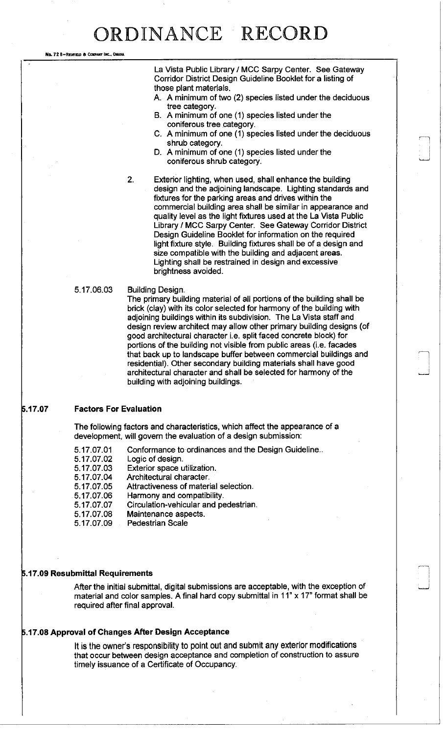No. 72 8-REDFIELD & COMPANY INC., OMAHA

La Vista Public Library / MCC Sarpy Center. See Gateway Corridor District Design Guideline Booklet for a listing of those plant materials.

- A. A minimum of two (2) species listed under the deciduous tree category.
- B. A minimum of one (1) species listed under the coniferous tree category.
- C. A minimum of one (1) species listed under the deciduous shrub category.
- D. A minimum of one (1) species listed under the coniferous shrub category.
- 2. Exterior lighting, when used, shall enhance the building design and the adjoining landscape. Lighting standards and fixtures for the parking areas and drives within the commercial building area shall be similar in appearance and quality level as the light fixtures used at the La Vista Public Library / MCC Sarpy Center. See Gateway Corridor District Design Guideline Booklet for information on the required light fixture style. Building fixtures shall be of a design and size compatible with the building and adjacent areas. Lighting shall be restrained in design and excessive brightness avoided.
- 5.17.06.03 Building Design.

The primary building material of all portions of the building shall be brick (clay) with its color selected for harmony of the building with adjoining buildings within its subdivision. The La Vista staff and design review architect may allow other primary building designs (of good architectural character i.e. split faced concrete block) for portions of the building not visible from public areas (i.e. facades that back up to landscape buffer between commercial buildings and residential). Other secondary building materials shall have good architectural character and shall be selected for harmony of the building with adjoining buildings.

### **5.17.07 Factors For Evaluation**

The following factors and characteristics, which affect the appearance of a development, will govern the evaluation of a design submission:

- 5.17.07.01 Conformance to ordinances and the Design Guideline..
- 5.17.07.02 Logic of design.
- 5.17.07.03 Exterior space utilization.
- 5.17.07.04 Architectural character.
- 5.17.07.05 Attractiveness of material selection.
- 5.17.07.06 Harmony and compatibility.
- 5.17.07.07 Circulation-vehicular and pedestrian.
- 5.17.07.08 Maintenance aspects.
- 5.17.07.09 Pedestrian Scale

#### **5.17.09 Resubmittal Requirements**

After the initial submittal, digital submissions are acceptable, with the exception of material and color samples. A final hard copy submittal in 11" x 17" format shall be required after final approval.

### **5.17.08 Approval of Changes After Design Acceptance**

It is the owner's responsibility to point out and submit any exterior modifications that occur between design acceptance and completion of construction to assure timely issuance of a Certificate of Occupancy.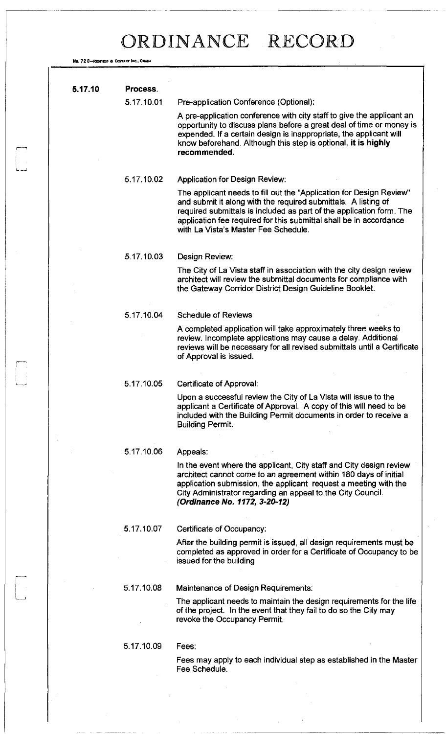No. 72 8-REDFIELD & COMPANY INC., OMAHA

 $\begin{bmatrix} 1 & 1 \\ 1 & 1 \\ 1 & 1 \end{bmatrix}$ 

| 5.17.10 | Process.   |                                                                                                                                                                                                                                                                                                                             |
|---------|------------|-----------------------------------------------------------------------------------------------------------------------------------------------------------------------------------------------------------------------------------------------------------------------------------------------------------------------------|
|         | 5.17.10.01 | Pre-application Conference (Optional):                                                                                                                                                                                                                                                                                      |
|         |            | A pre-application conference with city staff to give the applicant an<br>opportunity to discuss plans before a great deal of time or money is<br>expended. If a certain design is inappropriate, the applicant will<br>know beforehand. Although this step is optional, it is highly<br>recommended.                        |
|         | 5.17.10.02 | <b>Application for Design Review:</b>                                                                                                                                                                                                                                                                                       |
|         |            | The applicant needs to fill out the "Application for Design Review"<br>and submit it along with the required submittals. A listing of<br>required submittals is included as part of the application form. The<br>application fee required for this submittal shall be in accordance<br>with La Vista's Master Fee Schedule. |
|         | 5.17.10.03 | Design Review:                                                                                                                                                                                                                                                                                                              |
|         |            | The City of La Vista staff in association with the city design review<br>architect will review the submittal documents for compliance with<br>the Gateway Corridor District Design Guideline Booklet.                                                                                                                       |
|         | 5.17.10.04 | <b>Schedule of Reviews</b>                                                                                                                                                                                                                                                                                                  |
|         |            | A completed application will take approximately three weeks to<br>review. Incomplete applications may cause a delay. Additional<br>reviews will be necessary for all revised submittals until a Certificate<br>of Approval is issued.                                                                                       |
|         | 5.17.10.05 | Certificate of Approval:                                                                                                                                                                                                                                                                                                    |
|         |            | Upon a successful review the City of La Vista will issue to the<br>applicant a Certificate of Approval. A copy of this will need to be<br>included with the Building Permit documents in order to receive a<br><b>Building Permit.</b>                                                                                      |
|         | 5.17.10.06 | Appeals:                                                                                                                                                                                                                                                                                                                    |
|         |            | In the event where the applicant, City staff and City design review<br>architect cannot come to an agreement within 180 days of initial<br>application submission, the applicant request a meeting with the<br>City Administrator regarding an appeal to the City Council.<br>(Ordinance No. 1172, 3-20-12)                 |
|         | 5.17.10.07 | Certificate of Occupancy:                                                                                                                                                                                                                                                                                                   |
|         |            | After the building permit is issued, all design requirements must be<br>completed as approved in order for a Certificate of Occupancy to be<br>issued for the building                                                                                                                                                      |
|         | 5.17.10.08 | Maintenance of Design Requirements:                                                                                                                                                                                                                                                                                         |
|         |            | The applicant needs to maintain the design requirements for the life<br>of the project. In the event that they fail to do so the City may<br>revoke the Occupancy Permit.                                                                                                                                                   |
|         | 5.17.10.09 | Fees:                                                                                                                                                                                                                                                                                                                       |
|         |            | Fees may apply to each individual step as established in the Master<br>Fee Schedule.                                                                                                                                                                                                                                        |